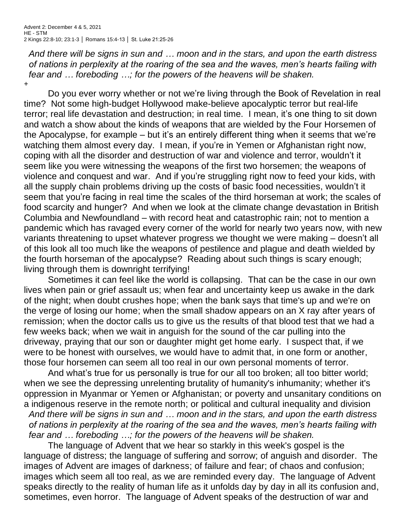*And there will be signs in sun and … moon and in the stars, and upon the earth distress of nations in perplexity at the roaring of the sea and the waves, men's hearts failing with fear and … foreboding …; for the powers of the heavens will be shaken.*

+

Do you ever worry whether or not we're living through the Book of Revelation in real time? Not some high-budget Hollywood make-believe apocalyptic terror but real-life terror; real life devastation and destruction; in real time. I mean, it's one thing to sit down and watch a show about the kinds of weapons that are wielded by the Four Horsemen of the Apocalypse, for example – but it's an entirely different thing when it seems that we're watching them almost every day. I mean, if you're in Yemen or Afghanistan right now, coping with all the disorder and destruction of war and violence and terror, wouldn't it seem like you were witnessing the weapons of the first two horsemen; the weapons of violence and conquest and war. And if you're struggling right now to feed your kids, with all the supply chain problems driving up the costs of basic food necessities, wouldn't it seem that you're facing in real time the scales of the third horseman at work; the scales of food scarcity and hunger? And when we look at the climate change devastation in British Columbia and Newfoundland – with record heat and catastrophic rain; not to mention a pandemic which has ravaged every corner of the world for nearly two years now, with new variants threatening to upset whatever progress we thought we were making – doesn't all of this look all too much like the weapons of pestilence and plague and death wielded by the fourth horseman of the apocalypse? Reading about such things is scary enough; living through them is downright terrifying!

Sometimes it can feel like the world is collapsing. That can be the case in our own lives when pain or grief assault us; when fear and uncertainty keep us awake in the dark of the night; when doubt crushes hope; when the bank says that time's up and we're on the verge of losing our home; when the small shadow appears on an X ray after years of remission; when the doctor calls us to give us the results of that blood test that we had a few weeks back; when we wait in anguish for the sound of the car pulling into the driveway, praying that our son or daughter might get home early. I suspect that, if we were to be honest with ourselves, we would have to admit that, in one form or another, those four horsemen can seem all too real in our own personal moments of terror.

And what's true for us personally is true for our all too broken; all too bitter world; when we see the depressing unrelenting brutality of humanity's inhumanity; whether it's oppression in Myanmar or Yemen or Afghanistan; or poverty and unsanitary conditions on a indigenous reserve in the remote north; or political and cultural inequality and division *And there will be signs in sun and … moon and in the stars, and upon the earth distress of nations in perplexity at the roaring of the sea and the waves, men's hearts failing with fear and … foreboding …; for the powers of the heavens will be shaken.*

The language of Advent that we hear so starkly in this week's gospel is the language of distress; the language of suffering and sorrow; of anguish and disorder. The images of Advent are images of darkness; of failure and fear; of chaos and confusion; images which seem all too real, as we are reminded every day. The language of Advent speaks directly to the reality of human life as it unfolds day by day in all its confusion and, sometimes, even horror. The language of Advent speaks of the destruction of war and